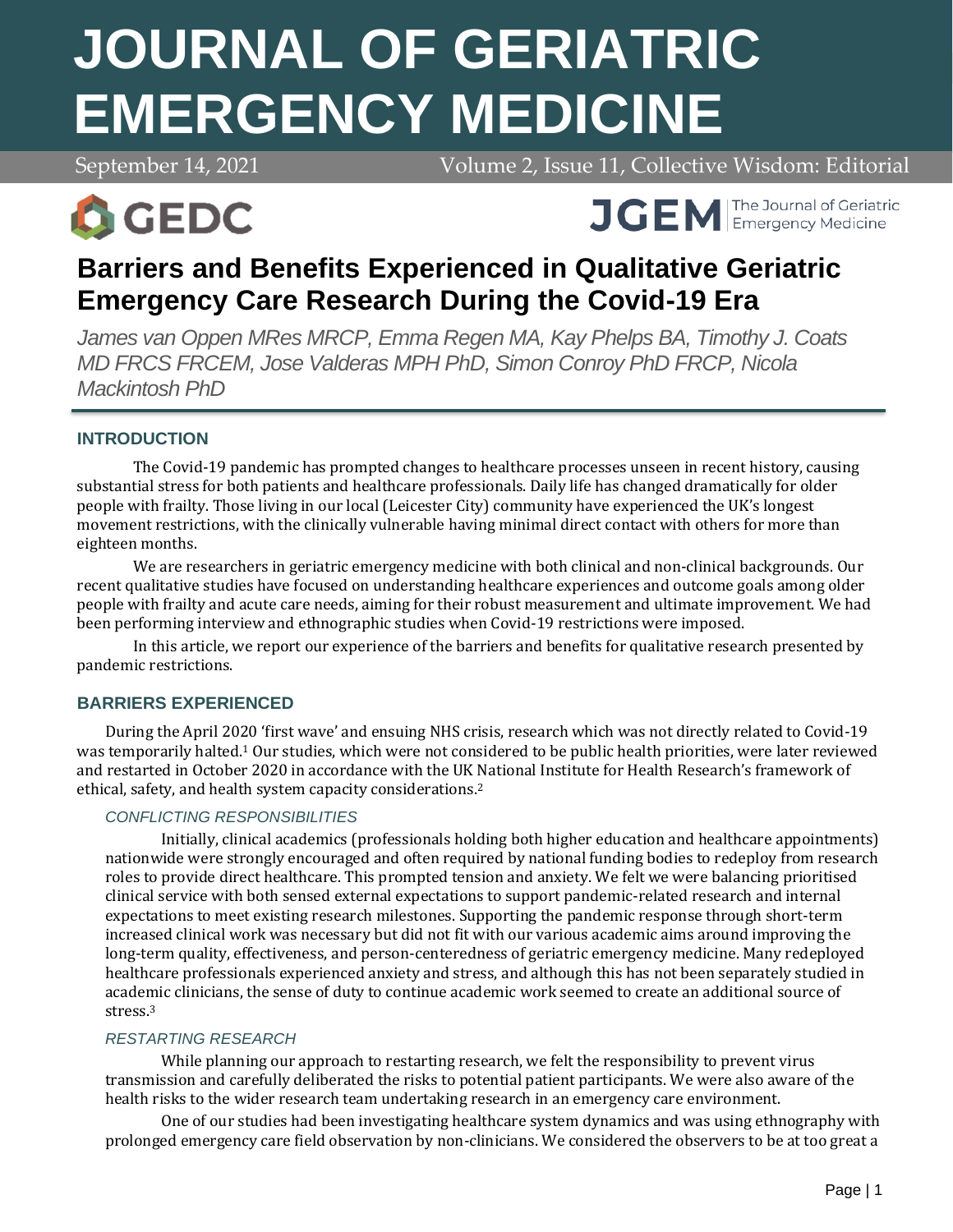# **JOURNAL OF GERIATRIC EMERGENCY MEDICINE**

September 14, 2021 Volume 2, Issue 11, Collective Wisdom: Editorial



**APRIL 7, 2021 Volume 2, 2021 Volume 2, 2021 Volume 2, 2021 Volume 2, 2021 Volume 2, 2021 Volume 2, 2021 Volume 2, 2021 Volume 2, 2021 Volume 2, 2021 Volume 2, 2021 Volume 2, 2021 Volume 2, 2021 Volume 2, 2021 Volume 2, 20** 

# **Barriers and Benefits Experienced in Qualitative Geriatric Emergency Care Research During the Covid-19 Era**

*James van Oppen MRes MRCP, Emma Regen MA, Kay Phelps BA, Timothy J. Coats MD FRCS FRCEM, Jose Valderas MPH PhD, Simon Conroy PhD FRCP, Nicola Mackintosh PhD*

# **INTRODUCTION**

The Covid-19 pandemic has prompted changes to healthcare processes unseen in recent history, causing substantial stress for both patients and healthcare professionals. Daily life has changed dramatically for older people with frailty. Those living in our local (Leicester City) community have experienced the UK's longest movement restrictions, with the clinically vulnerable having minimal direct contact with others for more than eighteen months.

We are researchers in geriatric emergency medicine with both clinical and non-clinical backgrounds. Our recent qualitative studies have focused on understanding healthcare experiences and outcome goals among older people with frailty and acute care needs, aiming for their robust measurement and ultimate improvement. We had been performing interview and ethnographic studies when Covid-19 restrictions were imposed.

In this article, we report our experience of the barriers and benefits for qualitative research presented by pandemic restrictions.

# **BARRIERS EXPERIENCED**

During the April 2020 'first wave' and ensuing NHS crisis, research which was not directly related to Covid-19 was temporarily halted.<sup>1</sup> Our studies, which were not considered to be public health priorities, were later reviewed and restarted in October 2020 in accordance with the UK National Institute for Health Research's framework of ethical, safety, and health system capacity considerations.<sup>2</sup>

# *CONFLICTING RESPONSIBILITIES*

Initially, clinical academics (professionals holding both higher education and healthcare appointments) nationwide were strongly encouraged and often required by national funding bodies to redeploy from research roles to provide direct healthcare. This prompted tension and anxiety. We felt we were balancing prioritised clinical service with both sensed external expectations to support pandemic-related research and internal expectations to meet existing research milestones. Supporting the pandemic response through short-term increased clinical work was necessary but did not fit with our various academic aims around improving the long-term quality, effectiveness, and person-centeredness of geriatric emergency medicine. Many redeployed healthcare professionals experienced anxiety and stress, and although this has not been separately studied in academic clinicians, the sense of duty to continue academic work seemed to create an additional source of stress.<sup>3</sup>

# *RESTARTING RESEARCH*

While planning our approach to restarting research, we felt the responsibility to prevent virus transmission and carefully deliberated the risks to potential patient participants. We were also aware of the health risks to the wider research team undertaking research in an emergency care environment.

One of our studies had been investigating healthcare system dynamics and was using ethnography with prolonged emergency care field observation by non-clinicians. We considered the observers to be at too great a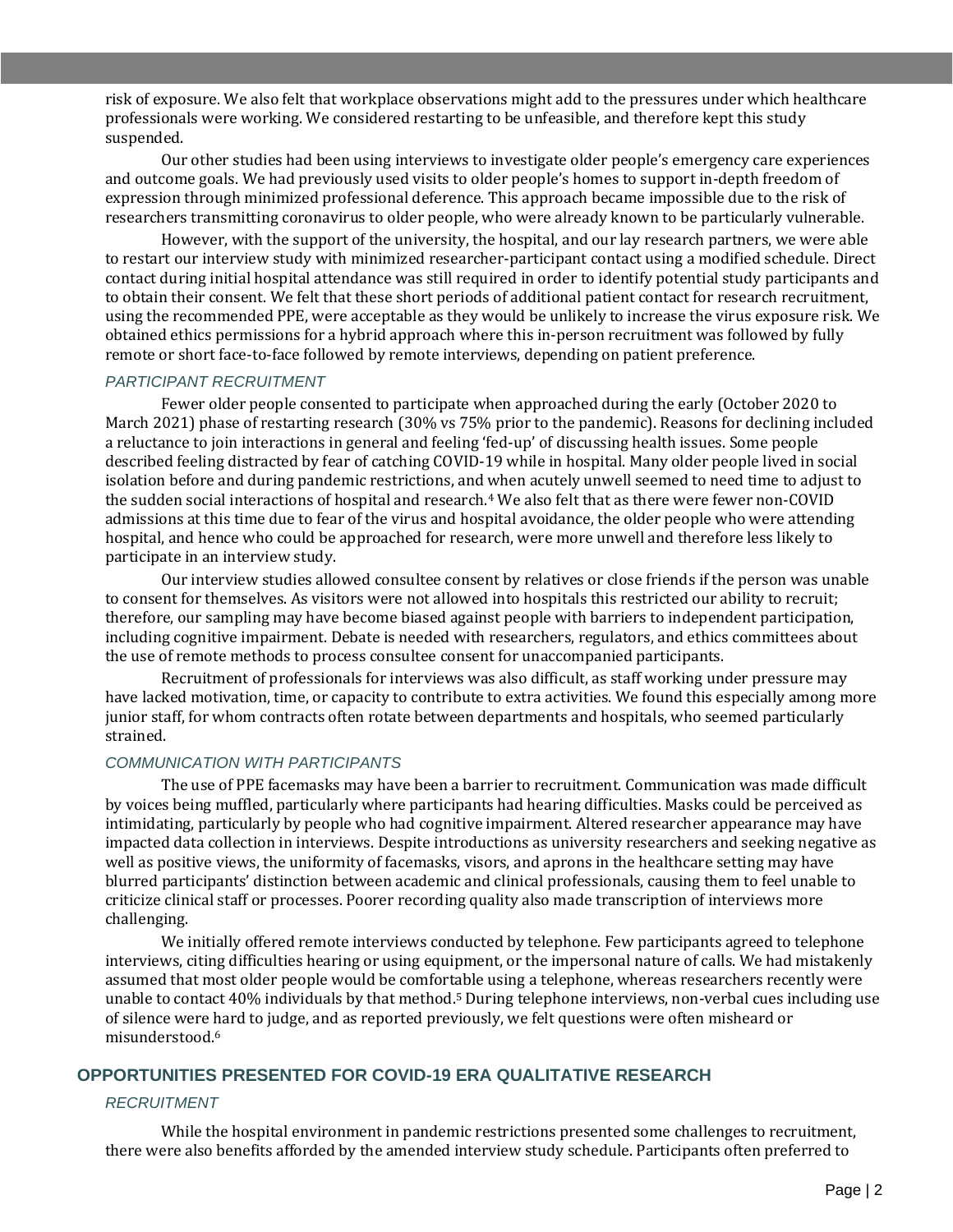risk of exposure. We also felt that workplace observations might add to the pressures under which healthcare professionals were working. We considered restarting to be unfeasible, and therefore kept this study suspended.

Our other studies had been using interviews to investigate older people's emergency care experiences and outcome goals. We had previously used visits to older people's homes to support in-depth freedom of expression through minimized professional deference. This approach became impossible due to the risk of researchers transmitting coronavirus to older people, who were already known to be particularly vulnerable.

However, with the support of the university, the hospital, and our lay research partners, we were able to restart our interview study with minimized researcher-participant contact using a modified schedule. Direct contact during initial hospital attendance was still required in order to identify potential study participants and to obtain their consent. We felt that these short periods of additional patient contact for research recruitment, using the recommended PPE, were acceptable as they would be unlikely to increase the virus exposure risk. We obtained ethics permissions for a hybrid approach where this in-person recruitment was followed by fully remote or short face-to-face followed by remote interviews, depending on patient preference.

#### *PARTICIPANT RECRUITMENT*

Fewer older people consented to participate when approached during the early (October 2020 to March 2021) phase of restarting research (30% vs 75% prior to the pandemic). Reasons for declining included a reluctance to join interactions in general and feeling 'fed-up' of discussing health issues. Some people described feeling distracted by fear of catching COVID-19 while in hospital. Many older people lived in social isolation before and during pandemic restrictions, and when acutely unwell seemed to need time to adjust to the sudden social interactions of hospital and research.<sup>4</sup> We also felt that as there were fewer non-COVID admissions at this time due to fear of the virus and hospital avoidance, the older people who were attending hospital, and hence who could be approached for research, were more unwell and therefore less likely to participate in an interview study.

Our interview studies allowed consultee consent by relatives or close friends if the person was unable to consent for themselves. As visitors were not allowed into hospitals this restricted our ability to recruit; therefore, our sampling may have become biased against people with barriers to independent participation, including cognitive impairment. Debate is needed with researchers, regulators, and ethics committees about the use of remote methods to process consultee consent for unaccompanied participants.

Recruitment of professionals for interviews was also difficult, as staff working under pressure may have lacked motivation, time, or capacity to contribute to extra activities. We found this especially among more junior staff, for whom contracts often rotate between departments and hospitals, who seemed particularly strained.

#### *COMMUNICATION WITH PARTICIPANTS*

The use of PPE facemasks may have been a barrier to recruitment. Communication was made difficult by voices being muffled, particularly where participants had hearing difficulties. Masks could be perceived as intimidating, particularly by people who had cognitive impairment. Altered researcher appearance may have impacted data collection in interviews. Despite introductions as university researchers and seeking negative as well as positive views, the uniformity of facemasks, visors, and aprons in the healthcare setting may have blurred participants' distinction between academic and clinical professionals, causing them to feel unable to criticize clinical staff or processes. Poorer recording quality also made transcription of interviews more challenging.

We initially offered remote interviews conducted by telephone. Few participants agreed to telephone interviews, citing difficulties hearing or using equipment, or the impersonal nature of calls. We had mistakenly assumed that most older people would be comfortable using a telephone, whereas researchers recently were unable to contact 40% individuals by that method.<sup>5</sup> During telephone interviews, non-verbal cues including use of silence were hard to judge, and as reported previously, we felt questions were often misheard or misunderstood.<sup>6</sup>

#### **OPPORTUNITIES PRESENTED FOR COVID-19 ERA QUALITATIVE RESEARCH**

#### *RECRUITMENT*

While the hospital environment in pandemic restrictions presented some challenges to recruitment, there were also benefits afforded by the amended interview study schedule. Participants often preferred to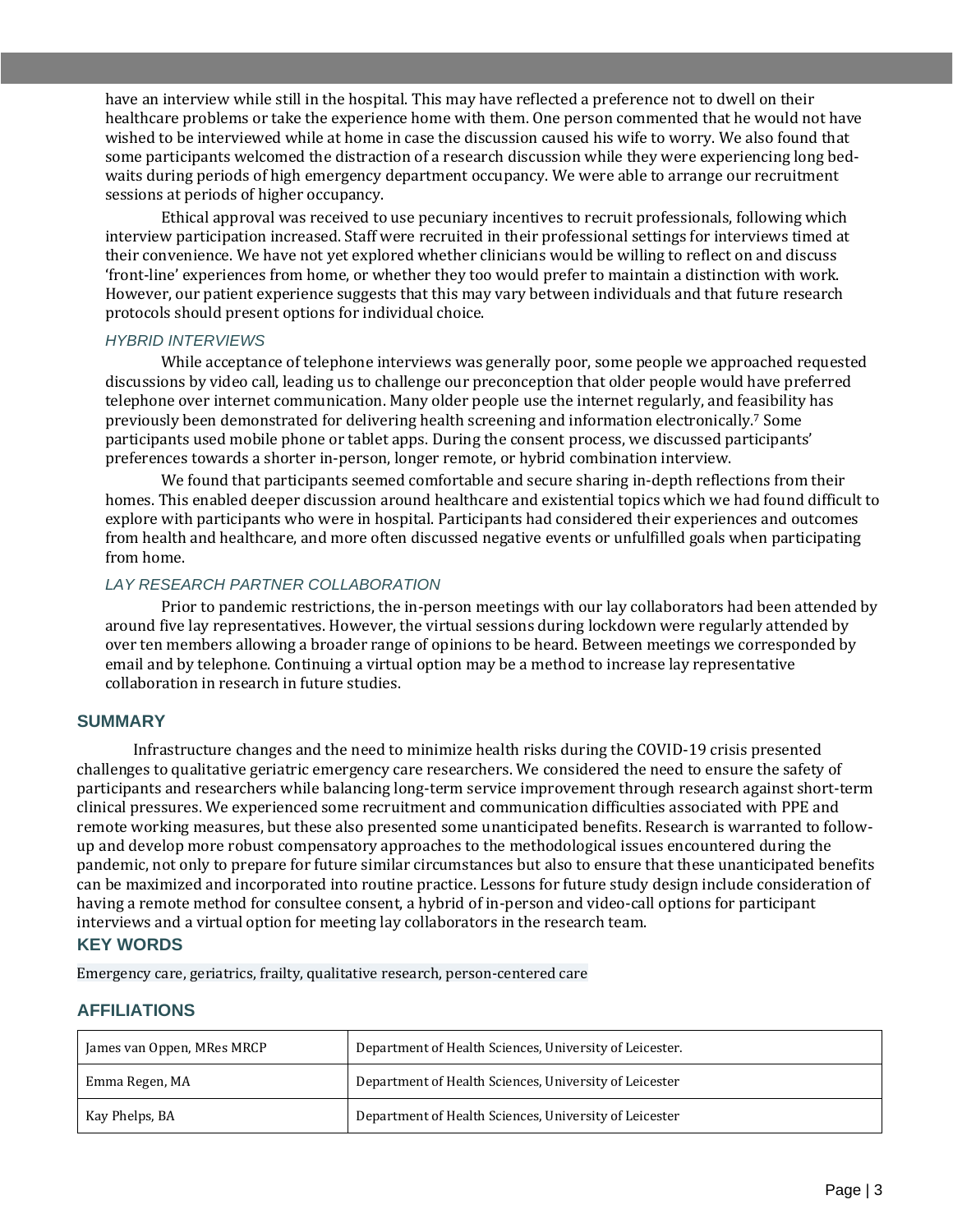have an interview while still in the hospital. This may have reflected a preference not to dwell on their healthcare problems or take the experience home with them. One person commented that he would not have wished to be interviewed while at home in case the discussion caused his wife to worry. We also found that some participants welcomed the distraction of a research discussion while they were experiencing long bedwaits during periods of high emergency department occupancy. We were able to arrange our recruitment sessions at periods of higher occupancy.

Ethical approval was received to use pecuniary incentives to recruit professionals, following which interview participation increased. Staff were recruited in their professional settings for interviews timed at their convenience. We have not yet explored whether clinicians would be willing to reflect on and discuss 'front-line' experiences from home, or whether they too would prefer to maintain a distinction with work. However, our patient experience suggests that this may vary between individuals and that future research protocols should present options for individual choice.

#### *HYBRID INTERVIEWS*

While acceptance of telephone interviews was generally poor, some people we approached requested discussions by video call, leading us to challenge our preconception that older people would have preferred telephone over internet communication. Many older people use the internet regularly, and feasibility has previously been demonstrated for delivering health screening and information electronically.<sup>7</sup> Some participants used mobile phone or tablet apps. During the consent process, we discussed participants' preferences towards a shorter in-person, longer remote, or hybrid combination interview.

We found that participants seemed comfortable and secure sharing in-depth reflections from their homes. This enabled deeper discussion around healthcare and existential topics which we had found difficult to explore with participants who were in hospital. Participants had considered their experiences and outcomes from health and healthcare, and more often discussed negative events or unfulfilled goals when participating from home.

#### *LAY RESEARCH PARTNER COLLABORATION*

Prior to pandemic restrictions, the in-person meetings with our lay collaborators had been attended by around five lay representatives. However, the virtual sessions during lockdown were regularly attended by over ten members allowing a broader range of opinions to be heard. Between meetings we corresponded by email and by telephone. Continuing a virtual option may be a method to increase lay representative collaboration in research in future studies.

# **SUMMARY**

Infrastructure changes and the need to minimize health risks during the COVID-19 crisis presented challenges to qualitative geriatric emergency care researchers. We considered the need to ensure the safety of participants and researchers while balancing long-term service improvement through research against short-term clinical pressures. We experienced some recruitment and communication difficulties associated with PPE and remote working measures, but these also presented some unanticipated benefits. Research is warranted to followup and develop more robust compensatory approaches to the methodological issues encountered during the pandemic, not only to prepare for future similar circumstances but also to ensure that these unanticipated benefits can be maximized and incorporated into routine practice. Lessons for future study design include consideration of having a remote method for consultee consent, a hybrid of in-person and video-call options for participant interviews and a virtual option for meeting lay collaborators in the research team.

#### **KEY WORDS**

Emergency care, geriatrics, frailty, qualitative research, person-centered care

#### **AFFILIATIONS**

| James van Oppen, MRes MRCP | Department of Health Sciences, University of Leicester. |
|----------------------------|---------------------------------------------------------|
| Emma Regen, MA             | Department of Health Sciences, University of Leicester  |
| Kay Phelps, BA             | Department of Health Sciences, University of Leicester  |